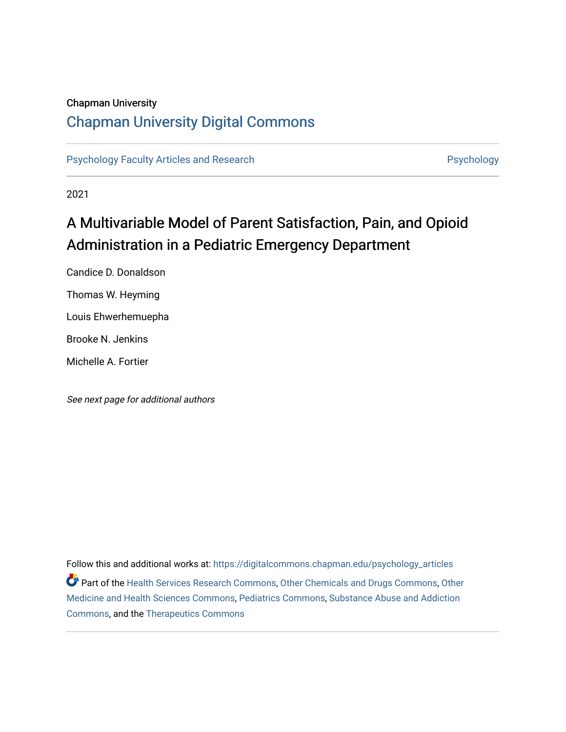#### Chapman University

# [Chapman University Digital Commons](https://digitalcommons.chapman.edu/)

[Psychology Faculty Articles and Research](https://digitalcommons.chapman.edu/psychology_articles) **Psychology** Psychology

2021

# A Multivariable Model of Parent Satisfaction, Pain, and Opioid Administration in a Pediatric Emergency Department

Candice D. Donaldson Thomas W. Heyming Louis Ehwerhemuepha Brooke N. Jenkins Michelle A. Fortier

See next page for additional authors

Follow this and additional works at: [https://digitalcommons.chapman.edu/psychology\\_articles](https://digitalcommons.chapman.edu/psychology_articles?utm_source=digitalcommons.chapman.edu%2Fpsychology_articles%2F270&utm_medium=PDF&utm_campaign=PDFCoverPages) Part of the [Health Services Research Commons,](http://network.bepress.com/hgg/discipline/816?utm_source=digitalcommons.chapman.edu%2Fpsychology_articles%2F270&utm_medium=PDF&utm_campaign=PDFCoverPages) [Other Chemicals and Drugs Commons](http://network.bepress.com/hgg/discipline/951?utm_source=digitalcommons.chapman.edu%2Fpsychology_articles%2F270&utm_medium=PDF&utm_campaign=PDFCoverPages), [Other](http://network.bepress.com/hgg/discipline/772?utm_source=digitalcommons.chapman.edu%2Fpsychology_articles%2F270&utm_medium=PDF&utm_campaign=PDFCoverPages) [Medicine and Health Sciences Commons](http://network.bepress.com/hgg/discipline/772?utm_source=digitalcommons.chapman.edu%2Fpsychology_articles%2F270&utm_medium=PDF&utm_campaign=PDFCoverPages), [Pediatrics Commons,](http://network.bepress.com/hgg/discipline/700?utm_source=digitalcommons.chapman.edu%2Fpsychology_articles%2F270&utm_medium=PDF&utm_campaign=PDFCoverPages) [Substance Abuse and Addiction](http://network.bepress.com/hgg/discipline/710?utm_source=digitalcommons.chapman.edu%2Fpsychology_articles%2F270&utm_medium=PDF&utm_campaign=PDFCoverPages)  [Commons](http://network.bepress.com/hgg/discipline/710?utm_source=digitalcommons.chapman.edu%2Fpsychology_articles%2F270&utm_medium=PDF&utm_campaign=PDFCoverPages), and the [Therapeutics Commons](http://network.bepress.com/hgg/discipline/993?utm_source=digitalcommons.chapman.edu%2Fpsychology_articles%2F270&utm_medium=PDF&utm_campaign=PDFCoverPages)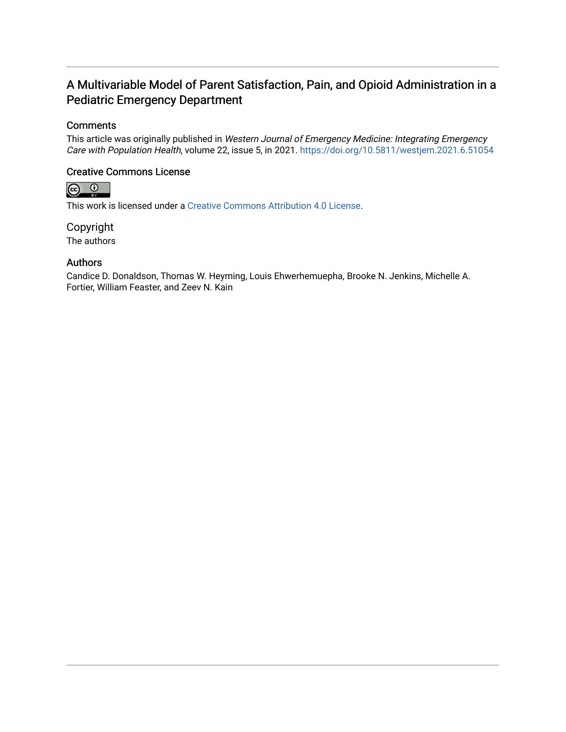# A Multivariable Model of Parent Satisfaction, Pain, and Opioid Administration in a Pediatric Emergency Department

#### **Comments**

This article was originally published in Western Journal of Emergency Medicine: Integrating Emergency Care with Population Health, volume 22, issue 5, in 2021. <https://doi.org/10.5811/westjem.2021.6.51054>

# Creative Commons License<br>  $\bigcirc$  0



This work is licensed under a [Creative Commons Attribution 4.0 License](https://creativecommons.org/licenses/by/4.0/).

Copyright The authors

#### Authors

Candice D. Donaldson, Thomas W. Heyming, Louis Ehwerhemuepha, Brooke N. Jenkins, Michelle A. Fortier, William Feaster, and Zeev N. Kain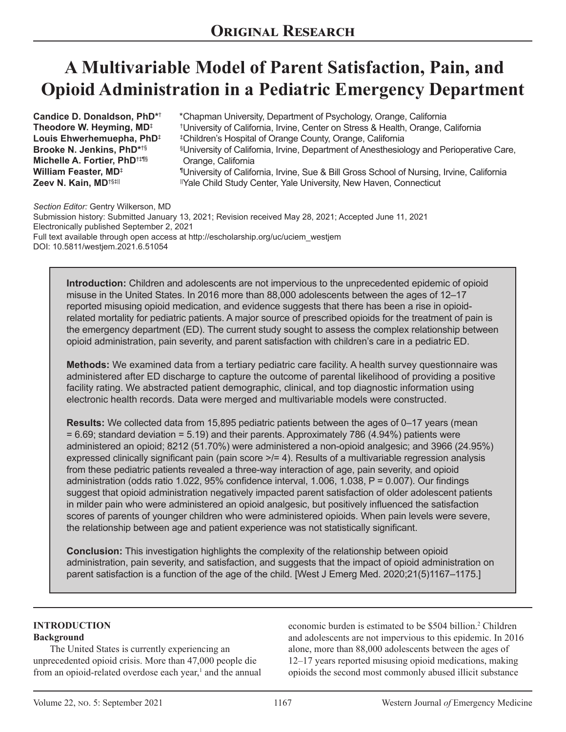# **A Multivariable Model of Parent Satisfaction, Pain, and Opioid Administration in a Pediatric Emergency Department**

**Candice D. Donaldson, PhD\***† **Theodore W. Heyming, MD**‡ **Louis Ehwerhemuepha, PhD**‡ **Brooke N. Jenkins, PhD\***†§ **Michelle A. Fortier, PhD**†‡¶§ **William Feaster, MD**‡ **Zeev N. Kain, MD**†§‡||

Chapman University, Department of Psychology, Orange, California \* University of California, Irvine, Center on Stress & Health, Orange, California † Children's Hospital of Orange County, Orange, California ‡  $§$ University of California, Irvine, Department of Anesthesiology and Perioperative Care, Orange, California University of California, Irvine, Sue & Bill Gross School of Nursing, Irvine, California ¶ Yale Child Study Center, Yale University, New Haven, Connecticut ||

*Section Editor:* Gentry Wilkerson, MD Submission history: Submitted January 13, 2021; Revision received May 28, 2021; Accepted June 11, 2021 Electronically published September 2, 2021 Full text available through open access at http://escholarship.org/uc/uciem\_westjem DOI: 10.5811/westjem.2021.6.51054

**Introduction:** Children and adolescents are not impervious to the unprecedented epidemic of opioid misuse in the United States. In 2016 more than 88,000 adolescents between the ages of 12–17 reported misusing opioid medication, and evidence suggests that there has been a rise in opioidrelated mortality for pediatric patients. A major source of prescribed opioids for the treatment of pain is the emergency department (ED). The current study sought to assess the complex relationship between opioid administration, pain severity, and parent satisfaction with children's care in a pediatric ED.

**Methods:** We examined data from a tertiary pediatric care facility. A health survey questionnaire was administered after ED discharge to capture the outcome of parental likelihood of providing a positive facility rating. We abstracted patient demographic, clinical, and top diagnostic information using electronic health records. Data were merged and multivariable models were constructed.

**Results:** We collected data from 15,895 pediatric patients between the ages of 0–17 years (mean = 6.69; standard deviation = 5.19) and their parents. Approximately 786 (4.94%) patients were administered an opioid; 8212 (51.70%) were administered a non-opioid analgesic; and 3966 (24.95%) expressed clinically significant pain (pain score  $\geq$  = 4). Results of a multivariable regression analysis from these pediatric patients revealed a three-way interaction of age, pain severity, and opioid administration (odds ratio 1.022, 95% confidence interval, 1.006, 1.038, P = 0.007). Our findings suggest that opioid administration negatively impacted parent satisfaction of older adolescent patients in milder pain who were administered an opioid analgesic, but positively influenced the satisfaction scores of parents of younger children who were administered opioids. When pain levels were severe, the relationship between age and patient experience was not statistically significant.

**Conclusion:** This investigation highlights the complexity of the relationship between opioid administration, pain severity, and satisfaction, and suggests that the impact of opioid administration on parent satisfaction is a function of the age of the child. [West J Emerg Med. 2020;21(5)1167–1175.]

#### **INTRODUCTION Background**

The United States is currently experiencing an unprecedented opioid crisis. More than 47,000 people die from an opioid-related overdose each year,<sup>1</sup> and the annual economic burden is estimated to be \$504 billion.2 Children and adolescents are not impervious to this epidemic. In 2016 alone, more than 88,000 adolescents between the ages of 12–17 years reported misusing opioid medications, making opioids the second most commonly abused illicit substance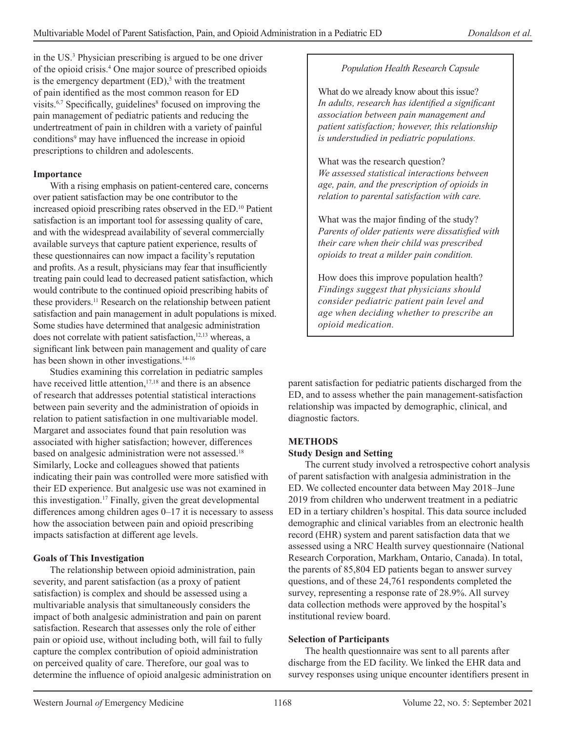in the US.3 Physician prescribing is argued to be one driver of the opioid crisis.4 One major source of prescribed opioids is the emergency department  $(ED)$ ,<sup>5</sup> with the treatment of pain identified as the most common reason for ED visits.<sup>6,7</sup> Specifically, guidelines<sup>8</sup> focused on improving the pain management of pediatric patients and reducing the undertreatment of pain in children with a variety of painful conditions<sup>9</sup> may have influenced the increase in opioid prescriptions to children and adolescents.

#### **Importance**

With a rising emphasis on patient-centered care, concerns over patient satisfaction may be one contributor to the increased opioid prescribing rates observed in the ED.10 Patient satisfaction is an important tool for assessing quality of care, and with the widespread availability of several commercially available surveys that capture patient experience, results of these questionnaires can now impact a facility's reputation and profits. As a result, physicians may fear that insufficiently treating pain could lead to decreased patient satisfaction, which would contribute to the continued opioid prescribing habits of these providers.<sup>11</sup> Research on the relationship between patient satisfaction and pain management in adult populations is mixed. Some studies have determined that analgesic administration does not correlate with patient satisfaction,<sup>12,13</sup> whereas, a significant link between pain management and quality of care has been shown in other investigations.<sup>14-16</sup>

Studies examining this correlation in pediatric samples have received little attention,<sup>17,18</sup> and there is an absence of research that addresses potential statistical interactions between pain severity and the administration of opioids in relation to patient satisfaction in one multivariable model. Margaret and associates found that pain resolution was associated with higher satisfaction; however, differences based on analgesic administration were not assessed.<sup>18</sup> Similarly, Locke and colleagues showed that patients indicating their pain was controlled were more satisfied with their ED experience. But analgesic use was not examined in this investigation.17 Finally, given the great developmental differences among children ages 0–17 it is necessary to assess how the association between pain and opioid prescribing impacts satisfaction at different age levels.

#### **Goals of This Investigation**

The relationship between opioid administration, pain severity, and parent satisfaction (as a proxy of patient satisfaction) is complex and should be assessed using a multivariable analysis that simultaneously considers the impact of both analgesic administration and pain on parent satisfaction. Research that assesses only the role of either pain or opioid use, without including both, will fail to fully capture the complex contribution of opioid administration on perceived quality of care. Therefore, our goal was to determine the influence of opioid analgesic administration on

#### *Population Health Research Capsule*

What do we already know about this issue? *In adults, research has identified a significant association between pain management and patient satisfaction; however, this relationship is understudied in pediatric populations.*

What was the research question? *We assessed statistical interactions between age, pain, and the prescription of opioids in relation to parental satisfaction with care.*

What was the major finding of the study? *Parents of older patients were dissatisfied with their care when their child was prescribed opioids to treat a milder pain condition.*

How does this improve population health? *Findings suggest that physicians should consider pediatric patient pain level and age when deciding whether to prescribe an opioid medication.* 

parent satisfaction for pediatric patients discharged from the ED, and to assess whether the pain management-satisfaction relationship was impacted by demographic, clinical, and diagnostic factors.

#### **METHODS**

#### **Study Design and Setting**

The current study involved a retrospective cohort analysis of parent satisfaction with analgesia administration in the ED. We collected encounter data between May 2018–June 2019 from children who underwent treatment in a pediatric ED in a tertiary children's hospital. This data source included demographic and clinical variables from an electronic health record (EHR) system and parent satisfaction data that we assessed using a NRC Health survey questionnaire (National Research Corporation, Markham, Ontario, Canada). In total, the parents of 85,804 ED patients began to answer survey questions, and of these 24,761 respondents completed the survey, representing a response rate of 28.9%. All survey data collection methods were approved by the hospital's institutional review board.

#### **Selection of Participants**

The health questionnaire was sent to all parents after discharge from the ED facility. We linked the EHR data and survey responses using unique encounter identifiers present in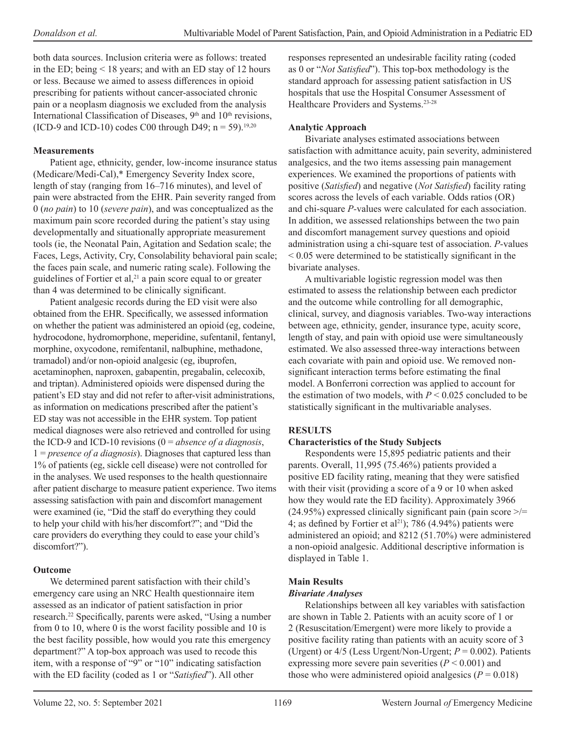both data sources. Inclusion criteria were as follows: treated in the ED; being < 18 years; and with an ED stay of 12 hours or less. Because we aimed to assess differences in opioid prescribing for patients without cancer-associated chronic pain or a neoplasm diagnosis we excluded from the analysis International Classification of Diseases, 9<sup>th</sup> and 10<sup>th</sup> revisions, (ICD-9 and ICD-10) codes C00 through D49;  $n = 59$ .<sup>19,20</sup>

## **Measurements**

Patient age, ethnicity, gender, low-income insurance status (Medicare/Medi-Cal),\* Emergency Severity Index score, length of stay (ranging from 16–716 minutes), and level of pain were abstracted from the EHR. Pain severity ranged from 0 (*no pain*) to 10 (*severe pain*), and was conceptualized as the maximum pain score recorded during the patient's stay using developmentally and situationally appropriate measurement tools (ie, the Neonatal Pain, Agitation and Sedation scale; the Faces, Legs, Activity, Cry, Consolability behavioral pain scale; the faces pain scale, and numeric rating scale). Following the guidelines of Fortier et al,<sup>21</sup> a pain score equal to or greater than 4 was determined to be clinically significant.

Patient analgesic records during the ED visit were also obtained from the EHR. Specifically, we assessed information on whether the patient was administered an opioid (eg, codeine, hydrocodone, hydromorphone, meperidine, sufentanil, fentanyl, morphine, oxycodone, remifentanil, nalbuphine, methadone, tramadol) and/or non-opioid analgesic (eg, ibuprofen, acetaminophen, naproxen, gabapentin, pregabalin, celecoxib, and triptan). Administered opioids were dispensed during the patient's ED stay and did not refer to after-visit administrations, as information on medications prescribed after the patient's ED stay was not accessible in the EHR system. Top patient medical diagnoses were also retrieved and controlled for using the ICD-9 and ICD-10 revisions (0 = *absence of a diagnosis*, 1 = *presence of a diagnosis*). Diagnoses that captured less than 1% of patients (eg, sickle cell disease) were not controlled for in the analyses. We used responses to the health questionnaire after patient discharge to measure patient experience. Two items assessing satisfaction with pain and discomfort management were examined (ie, "Did the staff do everything they could to help your child with his/her discomfort?"; and "Did the care providers do everything they could to ease your child's discomfort?").

# **Outcome**

We determined parent satisfaction with their child's emergency care using an NRC Health questionnaire item assessed as an indicator of patient satisfaction in prior research.22 Specifically, parents were asked, "Using a number from 0 to 10, where 0 is the worst facility possible and 10 is the best facility possible, how would you rate this emergency department?" A top-box approach was used to recode this item, with a response of "9" or "10" indicating satisfaction with the ED facility (coded as 1 or "*Satisfied*"). All other

responses represented an undesirable facility rating (coded as 0 or "*Not Satisfied*"). This top-box methodology is the standard approach for assessing patient satisfaction in US hospitals that use the Hospital Consumer Assessment of Healthcare Providers and Systems.23-28

# **Analytic Approach**

Bivariate analyses estimated associations between satisfaction with admittance acuity, pain severity, administered analgesics, and the two items assessing pain management experiences. We examined the proportions of patients with positive (*Satisfied*) and negative (*Not Satisfied*) facility rating scores across the levels of each variable. Odds ratios (OR) and chi-square *P-*values were calculated for each association. In addition, we assessed relationships between the two pain and discomfort management survey questions and opioid administration using a chi-square test of association. *P*-values < 0.05 were determined to be statistically significant in the bivariate analyses.

A multivariable logistic regression model was then estimated to assess the relationship between each predictor and the outcome while controlling for all demographic, clinical, survey, and diagnosis variables. Two-way interactions between age, ethnicity, gender, insurance type, acuity score, length of stay, and pain with opioid use were simultaneously estimated. We also assessed three-way interactions between each covariate with pain and opioid use. We removed nonsignificant interaction terms before estimating the final model. A Bonferroni correction was applied to account for the estimation of two models, with  $P \le 0.025$  concluded to be statistically significant in the multivariable analyses.

# **RESULTS**

## **Characteristics of the Study Subjects**

Respondents were 15,895 pediatric patients and their parents. Overall, 11,995 (75.46%) patients provided a positive ED facility rating, meaning that they were satisfied with their visit (providing a score of a 9 or 10 when asked how they would rate the ED facility). Approximately 3966 (24.95%) expressed clinically significant pain (pain score  $\ge$ /= 4; as defined by Fortier et al<sup>21</sup>); 786 (4.94%) patients were administered an opioid; and 8212 (51.70%) were administered a non-opioid analgesic. Additional descriptive information is displayed in Table 1.

## **Main Results**

## *Bivariate Analyses*

Relationships between all key variables with satisfaction are shown in Table 2. Patients with an acuity score of 1 or 2 (Resuscitation/Emergent) were more likely to provide a positive facility rating than patients with an acuity score of 3 (Urgent) or  $4/5$  (Less Urgent/Non-Urgent;  $P = 0.002$ ). Patients expressing more severe pain severities (*P* < 0.001) and those who were administered opioid analgesics  $(P = 0.018)$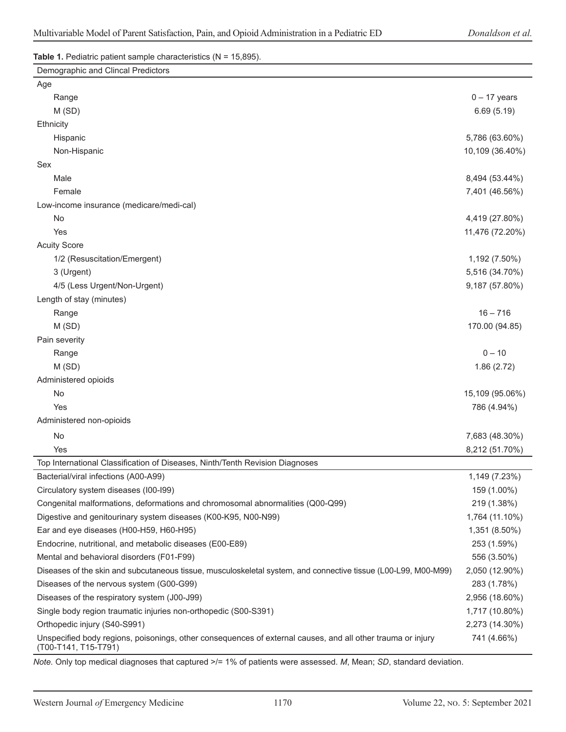#### **Table 1.** Pediatric patient sample characteristics (N = 15,895).

| Demographic and Clincal Predictors                                                                                                  |                 |
|-------------------------------------------------------------------------------------------------------------------------------------|-----------------|
| Age                                                                                                                                 |                 |
| Range                                                                                                                               | $0 - 17$ years  |
| M(SD)                                                                                                                               | 6.69(5.19)      |
| Ethnicity                                                                                                                           |                 |
| Hispanic                                                                                                                            | 5,786 (63.60%)  |
| Non-Hispanic                                                                                                                        | 10,109 (36.40%) |
| Sex                                                                                                                                 |                 |
| Male                                                                                                                                | 8,494 (53.44%)  |
| Female                                                                                                                              | 7,401 (46.56%)  |
| Low-income insurance (medicare/medi-cal)                                                                                            |                 |
| No                                                                                                                                  | 4,419 (27.80%)  |
| Yes                                                                                                                                 | 11,476 (72.20%) |
| <b>Acuity Score</b>                                                                                                                 |                 |
| 1/2 (Resuscitation/Emergent)                                                                                                        | 1,192 (7.50%)   |
| 3 (Urgent)                                                                                                                          | 5,516 (34.70%)  |
| 4/5 (Less Urgent/Non-Urgent)                                                                                                        | 9,187 (57.80%)  |
| Length of stay (minutes)                                                                                                            |                 |
| Range                                                                                                                               | $16 - 716$      |
| M(SD)                                                                                                                               | 170.00 (94.85)  |
| Pain severity                                                                                                                       |                 |
| Range                                                                                                                               | $0 - 10$        |
| M(SD)                                                                                                                               | 1.86(2.72)      |
| Administered opioids                                                                                                                |                 |
| No                                                                                                                                  | 15,109 (95.06%) |
| Yes                                                                                                                                 | 786 (4.94%)     |
| Administered non-opioids                                                                                                            |                 |
| <b>No</b>                                                                                                                           | 7,683 (48.30%)  |
| Yes                                                                                                                                 | 8,212 (51.70%)  |
| Top International Classification of Diseases, Ninth/Tenth Revision Diagnoses                                                        |                 |
| Bacterial/viral infections (A00-A99)                                                                                                | 1,149 (7.23%)   |
| Circulatory system diseases (I00-I99)                                                                                               | 159 (1.00%)     |
| Congenital malformations, deformations and chromosomal abnormalities (Q00-Q99)                                                      | 219 (1.38%)     |
| Digestive and genitourinary system diseases (K00-K95, N00-N99)                                                                      | 1,764 (11.10%)  |
| Ear and eye diseases (H00-H59, H60-H95)                                                                                             | 1,351 (8.50%)   |
| Endocrine, nutritional, and metabolic diseases (E00-E89)                                                                            | 253 (1.59%)     |
| Mental and behavioral disorders (F01-F99)                                                                                           | 556 (3.50%)     |
| Diseases of the skin and subcutaneous tissue, musculoskeletal system, and connective tissue (L00-L99, M00-M99)                      | 2,050 (12.90%)  |
| Diseases of the nervous system (G00-G99)                                                                                            | 283 (1.78%)     |
| Diseases of the respiratory system (J00-J99)                                                                                        | 2,956 (18.60%)  |
| Single body region traumatic injuries non-orthopedic (S00-S391)                                                                     | 1,717 (10.80%)  |
| Orthopedic injury (S40-S991)                                                                                                        | 2,273 (14.30%)  |
| Unspecified body regions, poisonings, other consequences of external causes, and all other trauma or injury<br>(T00-T141, T15-T791) | 741 (4.66%)     |

*Note.* Only top medical diagnoses that captured >/= 1% of patients were assessed. *M*, Mean; *SD*, standard deviation.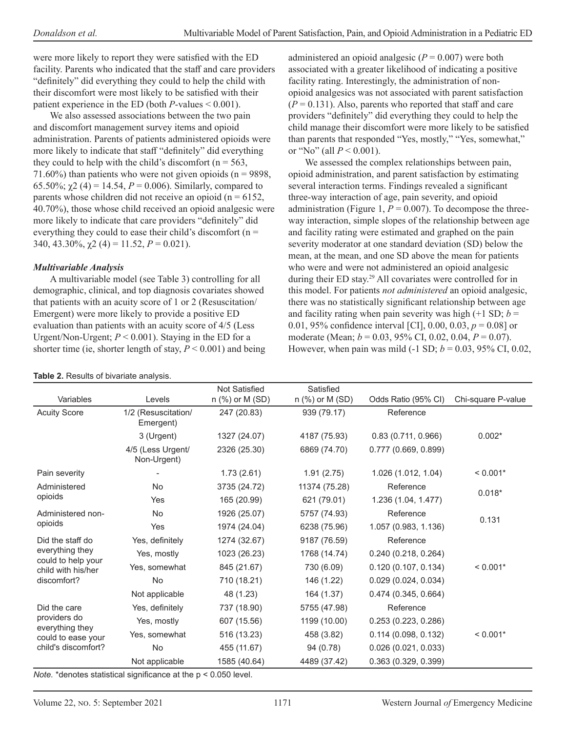were more likely to report they were satisfied with the ED facility. Parents who indicated that the staff and care providers "definitely" did everything they could to help the child with their discomfort were most likely to be satisfied with their patient experience in the ED (both *P*-values < 0.001).

We also assessed associations between the two pain and discomfort management survey items and opioid administration. Parents of patients administered opioids were more likely to indicate that staff "definitely" did everything they could to help with the child's discomfort ( $n = 563$ , 71.60%) than patients who were not given opioids ( $n = 9898$ , 65.50%;  $\chi$ 2 (4) = 14.54, *P* = 0.006). Similarly, compared to parents whose children did not receive an opioid ( $n = 6152$ , 40.70%), those whose child received an opioid analgesic were more likely to indicate that care providers "definitely" did everything they could to ease their child's discomfort ( $n =$ 340, 43.30%,  $\chi$ 2 (4) = 11.52, *P* = 0.021).

#### *Multivariable Analysis*

A multivariable model (see Table 3) controlling for all demographic, clinical, and top diagnosis covariates showed that patients with an acuity score of 1 or 2 (Resuscitation/ Emergent) were more likely to provide a positive ED evaluation than patients with an acuity score of 4/5 (Less Urgent/Non-Urgent;  $P < 0.001$ ). Staying in the ED for a shorter time (ie, shorter length of stay, *P* < 0.001) and being

| administered an opioid analgesic ( $P = 0.007$ ) were both     |
|----------------------------------------------------------------|
| associated with a greater likelihood of indicating a positive  |
| facility rating. Interestingly, the administration of non-     |
| opioid analgesics was not associated with parent satisfaction  |
| $(P = 0.131)$ . Also, parents who reported that staff and care |
| providers "definitely" did everything they could to help the   |
| child manage their discomfort were more likely to be satisfied |
| than parents that responded "Yes, mostly," "Yes, somewhat,"    |
| or "No" (all $P < 0.001$ ).                                    |

We assessed the complex relationships between pain, opioid administration, and parent satisfaction by estimating several interaction terms. Findings revealed a significant three-way interaction of age, pain severity, and opioid administration (Figure 1,  $P = 0.007$ ). To decompose the threeway interaction, simple slopes of the relationship between age and facility rating were estimated and graphed on the pain severity moderator at one standard deviation (SD) below the mean, at the mean, and one SD above the mean for patients who were and were not administered an opioid analgesic during their ED stay.<sup>29</sup> All covariates were controlled for in this model. For patients *not administered* an opioid analgesic, there was no statistically significant relationship between age and facility rating when pain severity was high  $(+1 \text{ SD}; b =$ 0.01, 95% confidence interval [CI], 0.00, 0.03,  $p = 0.08$ ] or moderate (Mean; *b* = 0.03, 95% CI, 0.02, 0.04, *P* = 0.07). However, when pain was mild  $(-1 SD; b = 0.03, 95\% CI, 0.02, 0.01)$ 

| Table 2. Results of bivariate analysis.                                                        |                                  |                                           |                                |                      |                    |  |  |
|------------------------------------------------------------------------------------------------|----------------------------------|-------------------------------------------|--------------------------------|----------------------|--------------------|--|--|
| Variables                                                                                      | Levels                           | <b>Not Satisfied</b><br>$n$ (%) or M (SD) | Satisfied<br>$n$ (%) or M (SD) | Odds Ratio (95% CI)  | Chi-square P-value |  |  |
| <b>Acuity Score</b>                                                                            | 1/2 (Resuscitation/<br>Emergent) | 247 (20.83)                               | 939 (79.17)                    | Reference            |                    |  |  |
|                                                                                                | 3 (Urgent)                       | 1327 (24.07)                              | 4187 (75.93)                   | 0.83(0.711, 0.966)   | $0.002*$           |  |  |
|                                                                                                | 4/5 (Less Urgent/<br>Non-Urgent) | 2326 (25.30)                              | 6869 (74.70)                   | 0.777(0.669, 0.899)  |                    |  |  |
| Pain severity                                                                                  |                                  | 1.73(2.61)                                | 1.91(2.75)                     | 1.026 (1.012, 1.04)  | $< 0.001*$         |  |  |
| Administered<br>opioids                                                                        | No                               | 3735 (24.72)                              | 11374 (75.28)                  | Reference            | $0.018*$           |  |  |
|                                                                                                | Yes                              | 165 (20.99)                               | 621 (79.01)                    | 1.236 (1.04, 1.477)  |                    |  |  |
| Administered non-<br>opioids                                                                   | No                               | 1926 (25.07)                              | 5757 (74.93)                   | Reference            | 0.131              |  |  |
|                                                                                                | Yes                              | 1974 (24.04)                              | 6238 (75.96)                   | 1.057 (0.983, 1.136) |                    |  |  |
| Did the staff do<br>everything they<br>could to help your<br>child with his/her<br>discomfort? | Yes, definitely                  | 1274 (32.67)                              | 9187 (76.59)                   | Reference            |                    |  |  |
|                                                                                                | Yes, mostly                      | 1023 (26.23)                              | 1768 (14.74)                   | 0.240(0.218, 0.264)  |                    |  |  |
|                                                                                                | Yes, somewhat                    | 845 (21.67)                               | 730 (6.09)                     | 0.120(0.107, 0.134)  | $< 0.001*$         |  |  |
|                                                                                                | <b>No</b>                        | 710 (18.21)                               | 146 (1.22)                     | 0.029(0.024, 0.034)  |                    |  |  |
|                                                                                                | Not applicable                   | 48 (1.23)                                 | 164 (1.37)                     | 0.474(0.345, 0.664)  |                    |  |  |
| Did the care<br>providers do<br>everything they<br>could to ease your<br>child's discomfort?   | Yes, definitely                  | 737 (18.90)                               | 5755 (47.98)                   | Reference            |                    |  |  |
|                                                                                                | Yes, mostly                      | 607 (15.56)                               | 1199 (10.00)                   | 0.253(0.223, 0.286)  |                    |  |  |
|                                                                                                | Yes, somewhat                    | 516 (13.23)                               | 458 (3.82)                     | 0.114(0.098, 0.132)  | $< 0.001*$         |  |  |
|                                                                                                | <b>No</b>                        | 455 (11.67)                               | 94 (0.78)                      | 0.026(0.021, 0.033)  |                    |  |  |
|                                                                                                | Not applicable                   | 1585 (40.64)                              | 4489 (37.42)                   | 0.363 (0.329, 0.399) |                    |  |  |

*Note.* \*denotes statistical significance at the p < 0.050 level.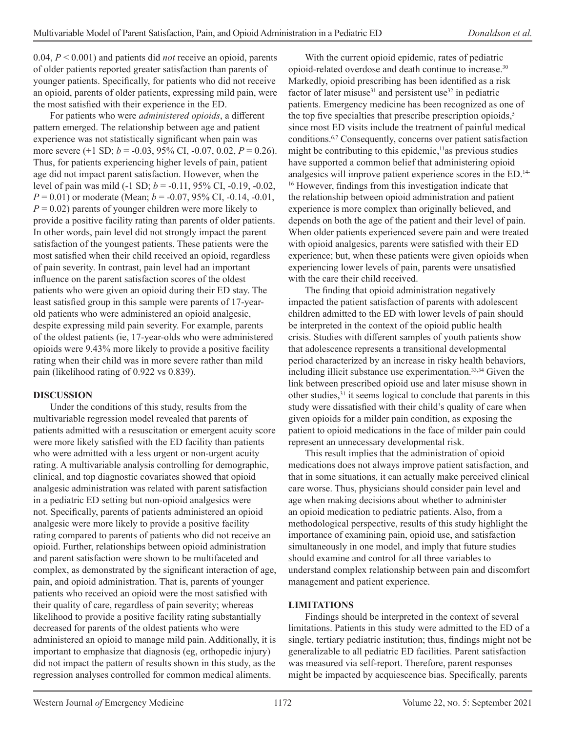0.04, *P* < 0.001) and patients did *not* receive an opioid, parents of older patients reported greater satisfaction than parents of younger patients. Specifically, for patients who did not receive an opioid, parents of older patients, expressing mild pain, were the most satisfied with their experience in the ED.

For patients who were *administered opioids*, a different pattern emerged. The relationship between age and patient experience was not statistically significant when pain was more severe (+1 SD; *b* = -0.03, 95% CI, -0.07, 0.02, *P* = 0.26). Thus, for patients experiencing higher levels of pain, patient age did not impact parent satisfaction. However, when the level of pain was mild (-1 SD; *b* = -0.11, 95% CI, -0.19, -0.02, *P* = 0.01) or moderate (Mean; *b* = -0.07, 95% CI, -0.14, -0.01,  $P = 0.02$ ) parents of younger children were more likely to provide a positive facility rating than parents of older patients. In other words, pain level did not strongly impact the parent satisfaction of the youngest patients. These patients were the most satisfied when their child received an opioid, regardless of pain severity. In contrast, pain level had an important influence on the parent satisfaction scores of the oldest patients who were given an opioid during their ED stay. The least satisfied group in this sample were parents of 17-yearold patients who were administered an opioid analgesic, despite expressing mild pain severity. For example, parents of the oldest patients (ie, 17-year-olds who were administered opioids were 9.43% more likely to provide a positive facility rating when their child was in more severe rather than mild pain (likelihood rating of 0.922 vs 0.839).

#### **DISCUSSION**

Under the conditions of this study, results from the multivariable regression model revealed that parents of patients admitted with a resuscitation or emergent acuity score were more likely satisfied with the ED facility than patients who were admitted with a less urgent or non-urgent acuity rating. A multivariable analysis controlling for demographic, clinical, and top diagnostic covariates showed that opioid analgesic administration was related with parent satisfaction in a pediatric ED setting but non-opioid analgesics were not. Specifically, parents of patients administered an opioid analgesic were more likely to provide a positive facility rating compared to parents of patients who did not receive an opioid. Further, relationships between opioid administration and parent satisfaction were shown to be multifaceted and complex, as demonstrated by the significant interaction of age, pain, and opioid administration. That is, parents of younger patients who received an opioid were the most satisfied with their quality of care, regardless of pain severity; whereas likelihood to provide a positive facility rating substantially decreased for parents of the oldest patients who were administered an opioid to manage mild pain. Additionally, it is important to emphasize that diagnosis (eg, orthopedic injury) did not impact the pattern of results shown in this study, as the regression analyses controlled for common medical aliments.

With the current opioid epidemic, rates of pediatric opioid-related overdose and death continue to increase.30 Markedly, opioid prescribing has been identified as a risk factor of later misuse<sup>31</sup> and persistent use<sup>32</sup> in pediatric patients. Emergency medicine has been recognized as one of the top five specialties that prescribe prescription opioids,<sup>5</sup> since most ED visits include the treatment of painful medical conditions.6,7 Consequently, concerns over patient satisfaction might be contributing to this epidemic,<sup>11</sup>as previous studies have supported a common belief that administering opioid analgesics will improve patient experience scores in the ED.14- <sup>16</sup> However, findings from this investigation indicate that the relationship between opioid administration and patient experience is more complex than originally believed, and depends on both the age of the patient and their level of pain. When older patients experienced severe pain and were treated with opioid analgesics, parents were satisfied with their ED experience; but, when these patients were given opioids when experiencing lower levels of pain, parents were unsatisfied with the care their child received.

The finding that opioid administration negatively impacted the patient satisfaction of parents with adolescent children admitted to the ED with lower levels of pain should be interpreted in the context of the opioid public health crisis. Studies with different samples of youth patients show that adolescence represents a transitional developmental period characterized by an increase in risky health behaviors, including illicit substance use experimentation.<sup>33,34</sup> Given the link between prescribed opioid use and later misuse shown in other studies, $31$  it seems logical to conclude that parents in this study were dissatisfied with their child's quality of care when given opioids for a milder pain condition, as exposing the patient to opioid medications in the face of milder pain could represent an unnecessary developmental risk.

This result implies that the administration of opioid medications does not always improve patient satisfaction, and that in some situations, it can actually make perceived clinical care worse. Thus, physicians should consider pain level and age when making decisions about whether to administer an opioid medication to pediatric patients. Also, from a methodological perspective, results of this study highlight the importance of examining pain, opioid use, and satisfaction simultaneously in one model, and imply that future studies should examine and control for all three variables to understand complex relationship between pain and discomfort management and patient experience.

#### **LIMITATIONS**

Findings should be interpreted in the context of several limitations. Patients in this study were admitted to the ED of a single, tertiary pediatric institution; thus, findings might not be generalizable to all pediatric ED facilities. Parent satisfaction was measured via self-report. Therefore, parent responses might be impacted by acquiescence bias. Specifically, parents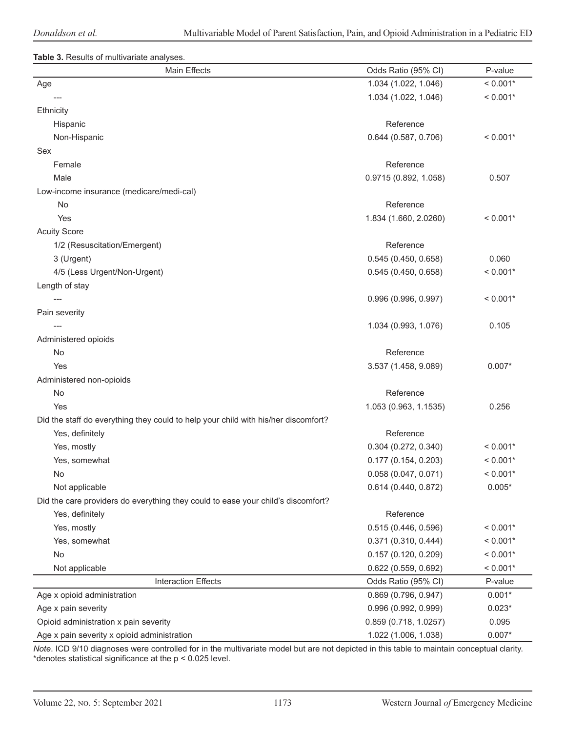#### **Table 3.** Results of multivariate analyses.

| Main Effects                                                                       | Odds Ratio (95% CI)    | P-value    |
|------------------------------------------------------------------------------------|------------------------|------------|
| Age                                                                                | 1.034 (1.022, 1.046)   | $< 0.001*$ |
|                                                                                    | 1.034 (1.022, 1.046)   | $< 0.001*$ |
| <b>Ethnicity</b>                                                                   |                        |            |
| Hispanic                                                                           | Reference              |            |
| Non-Hispanic                                                                       | 0.644(0.587, 0.706)    | $< 0.001*$ |
| Sex                                                                                |                        |            |
| Female                                                                             | Reference              |            |
| Male                                                                               | 0.9715 (0.892, 1.058)  | 0.507      |
| Low-income insurance (medicare/medi-cal)                                           |                        |            |
| No                                                                                 | Reference              |            |
| Yes                                                                                | 1.834 (1.660, 2.0260)  | $< 0.001*$ |
| <b>Acuity Score</b>                                                                |                        |            |
| 1/2 (Resuscitation/Emergent)                                                       | Reference              |            |
| 3 (Urgent)                                                                         | 0.545(0.450, 0.658)    | 0.060      |
| 4/5 (Less Urgent/Non-Urgent)                                                       | 0.545(0.450, 0.658)    | $< 0.001*$ |
| Length of stay                                                                     |                        |            |
|                                                                                    | 0.996(0.996, 0.997)    | $< 0.001*$ |
| Pain severity                                                                      |                        |            |
|                                                                                    | 1.034 (0.993, 1.076)   | 0.105      |
| Administered opioids                                                               |                        |            |
| No                                                                                 | Reference              |            |
| Yes                                                                                | 3.537 (1.458, 9.089)   | $0.007*$   |
| Administered non-opioids                                                           |                        |            |
| No                                                                                 | Reference              |            |
| Yes                                                                                | 1.053 (0.963, 1.1535)  | 0.256      |
| Did the staff do everything they could to help your child with his/her discomfort? |                        |            |
| Yes, definitely                                                                    | Reference              |            |
| Yes, mostly                                                                        | $0.304$ (0.272, 0.340) | $< 0.001*$ |
| Yes, somewhat                                                                      | 0.177(0.154, 0.203)    | $< 0.001*$ |
| No                                                                                 | 0.058(0.047, 0.071)    | $< 0.001*$ |
| Not applicable                                                                     | 0.614 (0.440, 0.872)   | $0.005*$   |
| Did the care providers do everything they could to ease your child's discomfort?   |                        |            |
| Yes, definitely                                                                    | Reference              |            |
| Yes, mostly                                                                        | 0.515(0.446, 0.596)    | $< 0.001*$ |
| Yes, somewhat                                                                      | 0.371 (0.310, 0.444)   | $< 0.001*$ |
| No                                                                                 | 0.157(0.120, 0.209)    | $< 0.001*$ |
| Not applicable                                                                     | 0.622(0.559, 0.692)    | $< 0.001*$ |
| <b>Interaction Effects</b>                                                         | Odds Ratio (95% CI)    | P-value    |
| Age x opioid administration                                                        | 0.869 (0.796, 0.947)   | $0.001*$   |
| Age x pain severity                                                                | 0.996 (0.992, 0.999)   | $0.023*$   |
| Opioid administration x pain severity                                              | 0.859 (0.718, 1.0257)  | 0.095      |
| Age x pain severity x opioid administration                                        | 1.022 (1.006, 1.038)   | $0.007*$   |

*Note*. ICD 9/10 diagnoses were controlled for in the multivariate model but are not depicted in this table to maintain conceptual clarity. \*denotes statistical significance at the p < 0.025 level.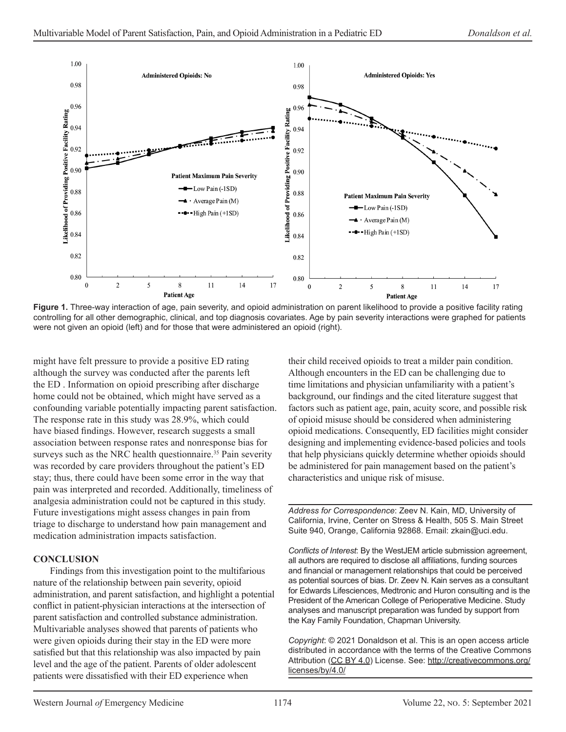

**Figure 1.** Three-way interaction of age, pain severity, and opioid administration on parent likelihood to provide a positive facility rating controlling for all other demographic, clinical, and top diagnosis covariates. Age by pain severity interactions were graphed for patients were not given an opioid (left) and for those that were administered an opioid (right).

might have felt pressure to provide a positive ED rating although the survey was conducted after the parents left the ED . Information on opioid prescribing after discharge home could not be obtained, which might have served as a confounding variable potentially impacting parent satisfaction. The response rate in this study was 28.9%, which could have biased findings. However, research suggests a small association between response rates and nonresponse bias for surveys such as the NRC health questionnaire.<sup>35</sup> Pain severity was recorded by care providers throughout the patient's ED stay; thus, there could have been some error in the way that pain was interpreted and recorded. Additionally, timeliness of analgesia administration could not be captured in this study. Future investigations might assess changes in pain from triage to discharge to understand how pain management and medication administration impacts satisfaction.

#### **CONCLUSION**

Findings from this investigation point to the multifarious nature of the relationship between pain severity, opioid administration, and parent satisfaction, and highlight a potential conflict in patient-physician interactions at the intersection of parent satisfaction and controlled substance administration. Multivariable analyses showed that parents of patients who were given opioids during their stay in the ED were more satisfied but that this relationship was also impacted by pain level and the age of the patient. Parents of older adolescent patients were dissatisfied with their ED experience when

their child received opioids to treat a milder pain condition. Although encounters in the ED can be challenging due to time limitations and physician unfamiliarity with a patient's background, our findings and the cited literature suggest that factors such as patient age, pain, acuity score, and possible risk of opioid misuse should be considered when administering opioid medications. Consequently, ED facilities might consider designing and implementing evidence-based policies and tools that help physicians quickly determine whether opioids should be administered for pain management based on the patient's characteristics and unique risk of misuse.

*Address for Correspondence*: Zeev N. Kain, MD, University of California, Irvine, Center on Stress & Health, 505 S. Main Street Suite 940, Orange, California 92868. Email: zkain@uci.edu.

*Conflicts of Interest*: By the WestJEM article submission agreement, all authors are required to disclose all affiliations, funding sources and financial or management relationships that could be perceived as potential sources of bias. Dr. Zeev N. Kain serves as a consultant for Edwards Lifesciences, Medtronic and Huron consulting and is the President of the American College of Perioperative Medicine. Study analyses and manuscript preparation was funded by support from the Kay Family Foundation, Chapman University.

*Copyright*: © 2021 Donaldson et al. This is an open access article distributed in accordance with the terms of the Creative Commons Attribution (CC BY 4.0) License. See: http://creativecommons.org/ licenses/by/4.0/